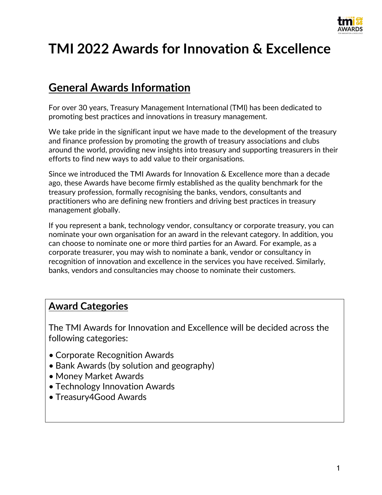

# **TMI 2022 Awards for Innovation & Excellence**

# **General Awards Information**

For over 30 years, Treasury Management International (TMI) has been dedicated to promoting best practices and innovations in treasury management.

We take pride in the significant input we have made to the development of the treasury and finance profession by promoting the growth of treasury associations and clubs around the world, providing new insights into treasury and supporting treasurers in their efforts to find new ways to add value to their organisations.

Since we introduced the TMI Awards for Innovation & Excellence more than a decade ago, these Awards have become firmly established as the quality benchmark for the treasury profession, formally recognising the banks, vendors, consultants and practitioners who are defining new frontiers and driving best practices in treasury management globally.

If you represent a bank, technology vendor, consultancy or corporate treasury, you can nominate your own organisation for an award in the relevant category. In addition, you can choose to nominate one or more third parties for an Award. For example, as a corporate treasurer, you may wish to nominate a bank, vendor or consultancy in recognition of innovation and excellence in the services you have received. Similarly, banks, vendors and consultancies may choose to nominate their customers.

# **Award Categories**

The TMI Awards for Innovation and Excellence will be decided across the following categories:

- Corporate Recognition Awards
- Bank Awards (by solution and geography)
- Money Market Awards
- Technology Innovation Awards
- Treasury4Good Awards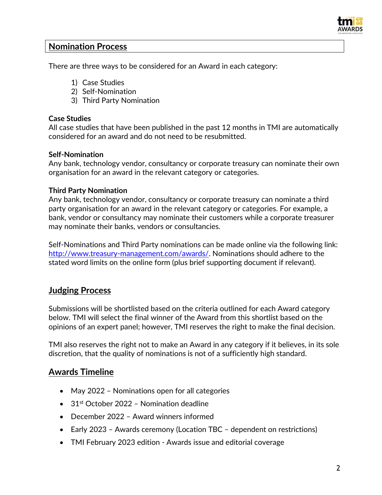

### **Nomination Process**

There are three ways to be considered for an Award in each category:

- 1) Case Studies
- 2) Self-Nomination
- 3) Third Party Nomination

#### **Case Studies**

All case studies that have been published in the past 12 months in TMI are automatically considered for an award and do not need to be resubmitted.

#### **Self-Nomination**

Any bank, technology vendor, consultancy or corporate treasury can nominate their own organisation for an award in the relevant category or categories.

#### **Third Party Nomination**

Any bank, technology vendor, consultancy or corporate treasury can nominate a third party organisation for an award in the relevant category or categories. For example, a bank, vendor or consultancy may nominate their customers while a corporate treasurer may nominate their banks, vendors or consultancies.

Self-Nominations and Third Party nominations can be made online via the following link: [http://www.treasury-management.com/awards/.](http://www.treasury-management.com/awards/) Nominations should adhere to the stated word limits on the online form (plus brief supporting document if relevant).

## **Judging Process**

Submissions will be shortlisted based on the criteria outlined for each Award category below. TMI will select the final winner of the Award from this shortlist based on the opinions of an expert panel; however, TMI reserves the right to make the final decision.

TMI also reserves the right not to make an Award in any category if it believes, in its sole discretion, that the quality of nominations is not of a sufficiently high standard.

## **Awards Timeline**

- May 2022 Nominations open for all categories
- 31<sup>st</sup> October 2022 Nomination deadline
- December 2022 Award winners informed
- Early 2023 Awards ceremony (Location TBC dependent on restrictions)
- TMI February 2023 edition Awards issue and editorial coverage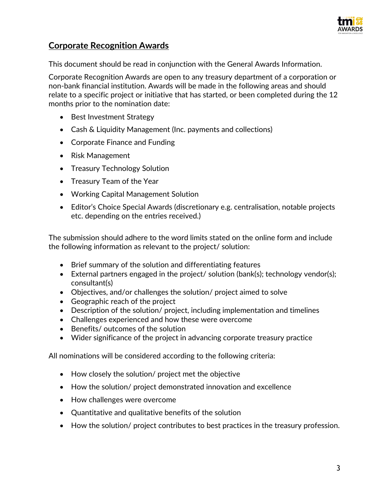

# **Corporate Recognition Awards**

This document should be read in conjunction with the General Awards Information.

Corporate Recognition Awards are open to any treasury department of a corporation or non-bank financial institution. Awards will be made in the following areas and should relate to a specific project or initiative that has started, or been completed during the 12 months prior to the nomination date:

- Best Investment Strategy
- Cash & Liquidity Management (Inc. payments and collections)
- Corporate Finance and Funding
- Risk Management
- Treasury Technology Solution
- Treasury Team of the Year
- Working Capital Management Solution
- Editor's Choice Special Awards (discretionary e.g. centralisation, notable projects etc. depending on the entries received.)

The submission should adhere to the word limits stated on the online form and include the following information as relevant to the project/ solution:

- Brief summary of the solution and differentiating features
- External partners engaged in the project/ solution (bank(s); technology vendor(s); consultant(s)
- Objectives, and/or challenges the solution/ project aimed to solve
- Geographic reach of the project
- Description of the solution/ project, including implementation and timelines
- Challenges experienced and how these were overcome
- Benefits/ outcomes of the solution
- Wider significance of the project in advancing corporate treasury practice

- How closely the solution/ project met the objective
- How the solution/ project demonstrated innovation and excellence
- How challenges were overcome
- Quantitative and qualitative benefits of the solution
- How the solution/ project contributes to best practices in the treasury profession.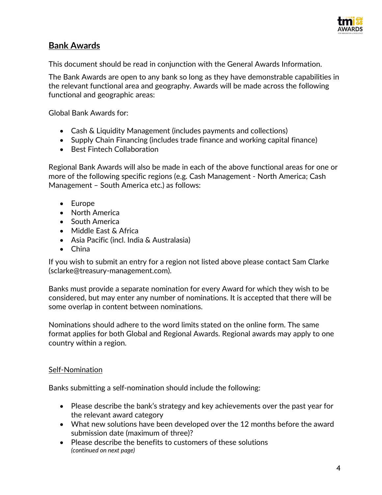

# **Bank Awards**

This document should be read in conjunction with the General Awards Information.

The Bank Awards are open to any bank so long as they have demonstrable capabilities in the relevant functional area and geography. Awards will be made across the following functional and geographic areas:

Global Bank Awards for:

- Cash & Liquidity Management (includes payments and collections)
- Supply Chain Financing (includes trade finance and working capital finance)
- Best Fintech Collaboration

Regional Bank Awards will also be made in each of the above functional areas for one or more of the following specific regions (e.g. Cash Management - North America; Cash Management – South America etc.) as follows:

- Europe
- North America
- South America
- Middle East & Africa
- Asia Pacific (incl. India & Australasia)
- China

If you wish to submit an entry for a region not listed above please contact Sam Clarke (sclarke@treasury-management.com).

Banks must provide a separate nomination for every Award for which they wish to be considered, but may enter any number of nominations. It is accepted that there will be some overlap in content between nominations.

Nominations should adhere to the word limits stated on the online form. The same format applies for both Global and Regional Awards. Regional awards may apply to one country within a region.

#### Self-Nomination

Banks submitting a self-nomination should include the following:

- Please describe the bank's strategy and key achievements over the past year for the relevant award category
- What new solutions have been developed over the 12 months before the award submission date (maximum of three)?
- Please describe the benefits to customers of these solutions *(continued on next page)*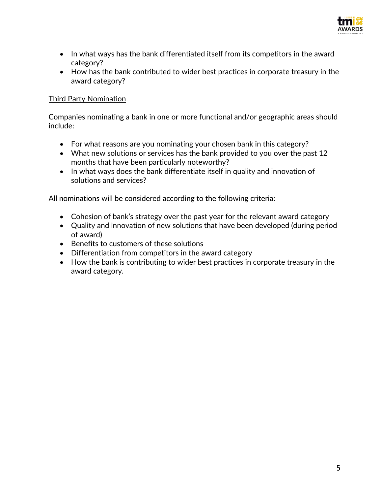

- In what ways has the bank differentiated itself from its competitors in the award category?
- How has the bank contributed to wider best practices in corporate treasury in the award category?

#### Third Party Nomination

Companies nominating a bank in one or more functional and/or geographic areas should include:

- For what reasons are you nominating your chosen bank in this category?
- What new solutions or services has the bank provided to you over the past 12 months that have been particularly noteworthy?
- In what ways does the bank differentiate itself in quality and innovation of solutions and services?

- Cohesion of bank's strategy over the past year for the relevant award category
- Quality and innovation of new solutions that have been developed (during period of award)
- Benefits to customers of these solutions
- Differentiation from competitors in the award category
- How the bank is contributing to wider best practices in corporate treasury in the award category.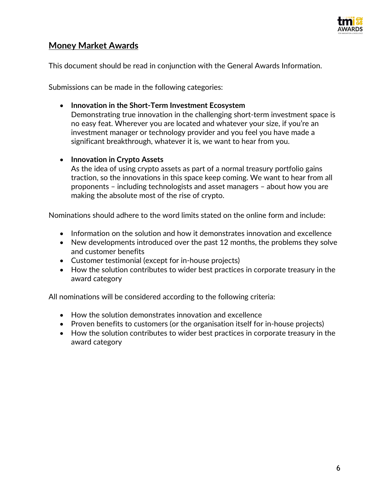

# **Money Market Awards**

This document should be read in conjunction with the General Awards Information.

Submissions can be made in the following categories:

#### • **Innovation in the Short-Term Investment Ecosystem**

Demonstrating true innovation in the challenging short-term investment space is no easy feat. Wherever you are located and whatever your size, if you're an investment manager or technology provider and you feel you have made a significant breakthrough, whatever it is, we want to hear from you.

#### • **Innovation in Crypto Assets**

As the idea of using crypto assets as part of a normal treasury portfolio gains traction, so the innovations in this space keep coming. We want to hear from all proponents – including technologists and asset managers – about how you are making the absolute most of the rise of crypto.

Nominations should adhere to the word limits stated on the online form and include:

- Information on the solution and how it demonstrates innovation and excellence
- New developments introduced over the past 12 months, the problems they solve and customer benefits
- Customer testimonial (except for in-house projects)
- How the solution contributes to wider best practices in corporate treasury in the award category

- How the solution demonstrates innovation and excellence
- Proven benefits to customers (or the organisation itself for in-house projects)
- How the solution contributes to wider best practices in corporate treasury in the award category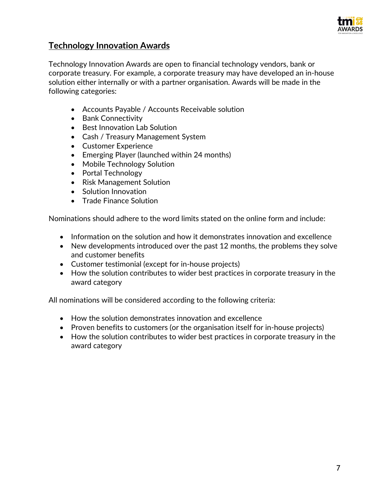

# **Technology Innovation Awards**

Technology Innovation Awards are open to financial technology vendors, bank or corporate treasury. For example, a corporate treasury may have developed an in-house solution either internally or with a partner organisation. Awards will be made in the following categories:

- Accounts Payable / Accounts Receivable solution
- Bank Connectivity
- Best Innovation Lab Solution
- Cash / Treasury Management System
- Customer Experience
- Emerging Player (launched within 24 months)
- Mobile Technology Solution
- Portal Technology
- Risk Management Solution
- Solution Innovation
- Trade Finance Solution

Nominations should adhere to the word limits stated on the online form and include:

- Information on the solution and how it demonstrates innovation and excellence
- New developments introduced over the past 12 months, the problems they solve and customer benefits
- Customer testimonial (except for in-house projects)
- How the solution contributes to wider best practices in corporate treasury in the award category

- How the solution demonstrates innovation and excellence
- Proven benefits to customers (or the organisation itself for in-house projects)
- How the solution contributes to wider best practices in corporate treasury in the award category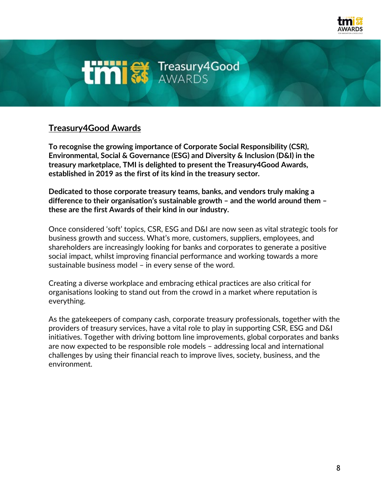

# **Umist Treasury4Good**

# **Treasury4Good Awards**

**To recognise the growing importance of Corporate Social Responsibility (CSR), Environmental, Social & Governance (ESG) and Diversity & Inclusion (D&I) in the treasury marketplace, TMI is delighted to present the Treasury4Good Awards, established in 2019 as the first of its kind in the treasury sector.**

**Dedicated to those corporate treasury teams, banks, and vendors truly making a difference to their organisation's sustainable growth – and the world around them – these are the first Awards of their kind in our industry.** 

Once considered 'soft' topics, CSR, ESG and D&I are now seen as vital strategic tools for business growth and success. What's more, customers, suppliers, employees, and shareholders are increasingly looking for banks and corporates to generate a positive social impact, whilst improving financial performance and working towards a more sustainable business model – in every sense of the word.

Creating a diverse workplace and embracing ethical practices are also critical for organisations looking to stand out from the crowd in a market where reputation is everything.

As the gatekeepers of company cash, corporate treasury professionals, together with the providers of treasury services, have a vital role to play in supporting CSR, ESG and D&I initiatives. Together with driving bottom line improvements, global corporates and banks are now expected to be responsible role models – addressing local and international challenges by using their financial reach to improve lives, society, business, and the environment.